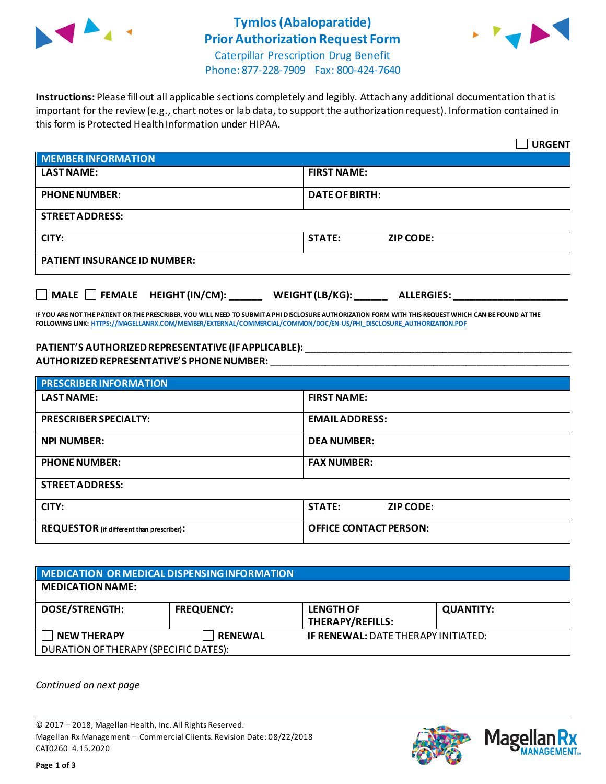

# **Tymlos(Abaloparatide) Prior Authorization Request Form**



Caterpillar Prescription Drug Benefit Phone: 877-228-7909 Fax: 800-424-7640

**Instructions:** Please fill out all applicable sections completely and legibly. Attach any additional documentation that is important for the review (e.g., chart notes or lab data, to support the authorization request). Information contained in this form is Protected Health Information under HIPAA.

|                                           | <b>URGENT</b>                        |  |  |
|-------------------------------------------|--------------------------------------|--|--|
| <b>MEMBER INFORMATION</b>                 |                                      |  |  |
| <b>LAST NAME:</b>                         | <b>FIRST NAME:</b>                   |  |  |
| <b>PHONE NUMBER:</b>                      | <b>DATE OF BIRTH:</b>                |  |  |
| <b>STREET ADDRESS:</b>                    |                                      |  |  |
| CITY:                                     | <b>STATE:</b><br><b>ZIP CODE:</b>    |  |  |
| <b>PATIENT INSURANCE ID NUMBER:</b>       |                                      |  |  |
| $\Box$ MALE $\Box$ FEMALE HEIGHT (IN/CM): | WEIGHT (LB/KG):<br><b>ALLERGIES:</b> |  |  |

**IF YOU ARE NOT THE PATIENT OR THE PRESCRIBER, YOU WILL NEED TO SUBMIT A PHI DISCLOSURE AUTHORIZATION FORM WITH THIS REQUEST WHICH CAN BE FOUND AT THE FOLLOWING LINK[: HTTPS://MAGELLANRX.COM/MEMBER/EXTERNAL/COMMERCIAL/COMMON/DOC/EN-US/PHI\\_DISCLOSURE\\_AUTHORIZATION.PDF](https://magellanrx.com/member/external/commercial/common/doc/en-us/PHI_Disclosure_Authorization.pdf)**

### **PATIENT'S AUTHORIZEDREPRESENTATIVE (IF APPLICABLE):** \_\_\_\_\_\_\_\_\_\_\_\_\_\_\_\_\_\_\_\_\_\_\_\_\_\_\_\_\_\_\_\_\_\_\_\_\_\_\_\_\_\_\_\_\_\_\_\_\_ **AUTHORIZED REPRESENTATIVE'S PHONE NUMBER:** \_\_\_\_\_\_\_\_\_\_\_\_\_\_\_\_\_\_\_\_\_\_\_\_\_\_\_\_\_\_\_\_\_\_\_\_\_\_\_\_\_\_\_\_\_\_\_\_\_\_\_\_\_\_\_

| <b>PRESCRIBER INFORMATION</b>             |                               |  |  |
|-------------------------------------------|-------------------------------|--|--|
| <b>LAST NAME:</b>                         | <b>FIRST NAME:</b>            |  |  |
| <b>PRESCRIBER SPECIALTY:</b>              | <b>EMAIL ADDRESS:</b>         |  |  |
| <b>NPI NUMBER:</b>                        | <b>DEA NUMBER:</b>            |  |  |
| <b>PHONE NUMBER:</b>                      | <b>FAX NUMBER:</b>            |  |  |
| <b>STREET ADDRESS:</b>                    |                               |  |  |
| CITY:                                     | <b>STATE:</b><br>ZIP CODE:    |  |  |
| REQUESTOR (if different than prescriber): | <b>OFFICE CONTACT PERSON:</b> |  |  |

| MEDICATION OR MEDICAL DISPENSING INFORMATION |                   |                                             |                  |  |  |
|----------------------------------------------|-------------------|---------------------------------------------|------------------|--|--|
| <b>MEDICATION NAME:</b>                      |                   |                                             |                  |  |  |
| <b>DOSE/STRENGTH:</b>                        | <b>FREQUENCY:</b> | <b>LENGTH OF</b><br><b>THERAPY/REFILLS:</b> | <b>QUANTITY:</b> |  |  |
| <b>NEW THERAPY</b>                           | <b>RENEWAL</b>    | <b>IF RENEWAL: DATE THERAPY INITIATED:</b>  |                  |  |  |
| DURATION OF THERAPY (SPECIFIC DATES):        |                   |                                             |                  |  |  |

*Continued on next page*

© 2017 – 2018, Magellan Health, Inc. All Rights Reserved. Magellan Rx Management – Commercial Clients. Revision Date: 08/22/2018 CAT0260 4.15.2020



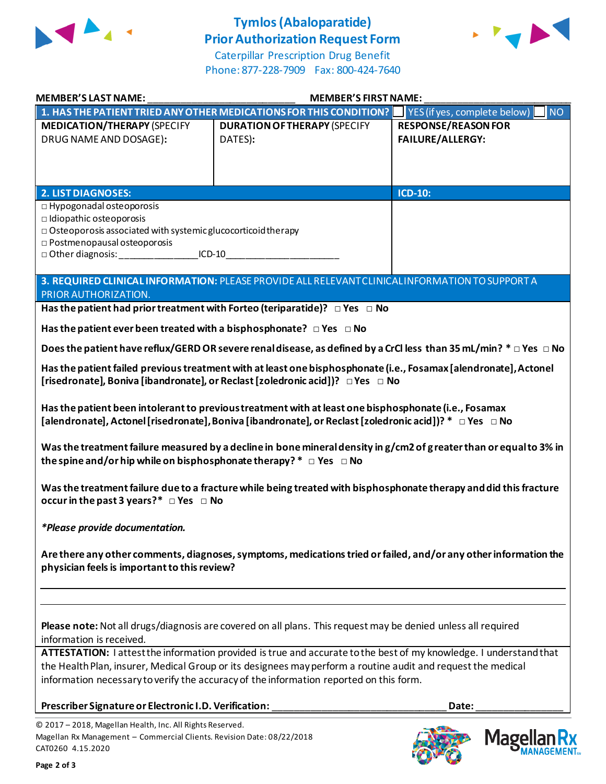

## **Tymlos(Abaloparatide) Prior Authorization Request Form**



Caterpillar Prescription Drug Benefit Phone: 877-228-7909 Fax: 800-424-7640

| <b>MEMBER'S LAST NAME:</b>                                                                                                                                                                                                                                      | <b>MEMBER'S FIRST NAME:</b>                                                                                                                                                                                                                                                                                                            |                                                       |
|-----------------------------------------------------------------------------------------------------------------------------------------------------------------------------------------------------------------------------------------------------------------|----------------------------------------------------------------------------------------------------------------------------------------------------------------------------------------------------------------------------------------------------------------------------------------------------------------------------------------|-------------------------------------------------------|
|                                                                                                                                                                                                                                                                 | 1. HAS THE PATIENT TRIED ANY OTHER MEDICATIONS FOR THIS CONDITION?                                                                                                                                                                                                                                                                     | YES (if yes, complete below)<br><b>NO</b>             |
| <b>MEDICATION/THERAPY (SPECIFY</b><br>DRUG NAME AND DOSAGE):                                                                                                                                                                                                    | <b>DURATION OF THERAPY (SPECIFY</b><br>DATES):                                                                                                                                                                                                                                                                                         | <b>RESPONSE/REASON FOR</b><br><b>FAILURE/ALLERGY:</b> |
| <b>2. LIST DIAGNOSES:</b>                                                                                                                                                                                                                                       |                                                                                                                                                                                                                                                                                                                                        | ICD-10:                                               |
| □ Hypogonadal osteoporosis<br>$\Box$ Idiopathic osteoporosis<br>$\Box$ Osteoporosis associated with systemic glucocorticoid therapy<br>$\square$ Postmenopausal osteoporosis<br>□ Other diagnosis: _________________________ICD-10_____________________________ |                                                                                                                                                                                                                                                                                                                                        |                                                       |
| PRIOR AUTHORIZATION.                                                                                                                                                                                                                                            | 3. REQUIRED CLINICAL INFORMATION: PLEASE PROVIDE ALL RELEVANT CLINICAL INFORMATION TO SUPPORT A                                                                                                                                                                                                                                        |                                                       |
|                                                                                                                                                                                                                                                                 | Has the patient had prior treatment with Forteo (teriparatide)? $\Box$ Yes $\Box$ No                                                                                                                                                                                                                                                   |                                                       |
| Has the patient ever been treated with a bisphosphonate? $\Box$ Yes $\Box$ No                                                                                                                                                                                   |                                                                                                                                                                                                                                                                                                                                        |                                                       |
|                                                                                                                                                                                                                                                                 | Does the patient have reflux/GERD OR severe renal disease, as defined by a CrCl less than 35 mL/min? $* \Box$ Yes $\Box$ No                                                                                                                                                                                                            |                                                       |
|                                                                                                                                                                                                                                                                 | Has the patient failed previous treatment with at least one bisphosphonate (i.e., Fosamax [alendronate], Actonel<br>[risedronate], Boniva [ibandronate], or Reclast [zoledronic acid])? □ Yes □ No                                                                                                                                     |                                                       |
|                                                                                                                                                                                                                                                                 | Has the patient been intolerant to previous treatment with at least one bisphosphonate (i.e., Fosamax<br>[alendronate], Actonel [risedronate], Boniva [ibandronate], or Reclast [zoledronic acid])? * □ Yes □ No<br>Was the treatment failure measured by a decline in bone mineral density in g/cm2 of greater than or equal to 3% in |                                                       |
| the spine and/or hip while on bisphosphonate therapy? $* \Box$ Yes $\Box$ No<br>occur in the past 3 years?* $\Box$ Yes $\Box$ No                                                                                                                                | Was the treatment failure due to a fracture while being treated with bisphosphonate therapy and did this fracture                                                                                                                                                                                                                      |                                                       |
| *Please provide documentation.                                                                                                                                                                                                                                  |                                                                                                                                                                                                                                                                                                                                        |                                                       |
| physician feels is important to this review?                                                                                                                                                                                                                    | Are there any other comments, diagnoses, symptoms, medications tried or failed, and/or any other information the                                                                                                                                                                                                                       |                                                       |
| information is received.                                                                                                                                                                                                                                        | Please note: Not all drugs/diagnosis are covered on all plans. This request may be denied unless all required                                                                                                                                                                                                                          |                                                       |
|                                                                                                                                                                                                                                                                 | ATTESTATION: lattest the information provided is true and accurate to the best of my knowledge. I understand that<br>the Health Plan, insurer, Medical Group or its designees may perform a routine audit and request the medical<br>information necessary to verify the accuracy of the information reported on this form.            |                                                       |
| Prescriber Signature or Electronic I.D. Verification:                                                                                                                                                                                                           |                                                                                                                                                                                                                                                                                                                                        | Date:                                                 |
| © 2017 - 2018, Magellan Health, Inc. All Rights Reserved.<br>Magellan Rx Management - Commercial Clients. Revision Date: 08/22/2018<br>CAT0260 4.15.2020                                                                                                        |                                                                                                                                                                                                                                                                                                                                        | Mage                                                  |

**FOUR CO**